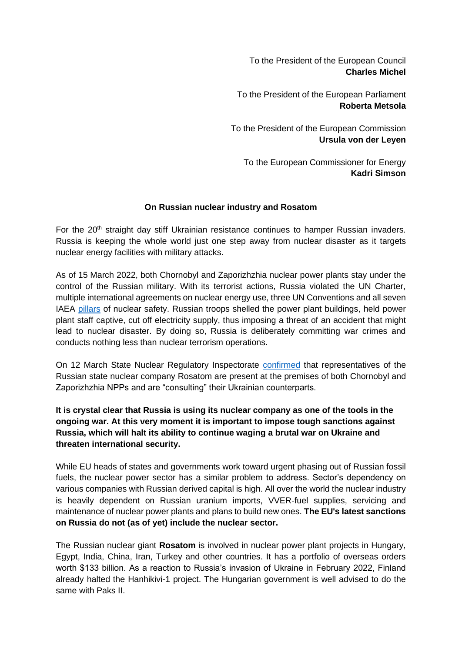To the President of the European Council **Charles Michel**

To the President of the European Parliament **Roberta Metsola**

To the President of the European Commission **Ursula von der Leyen**

To the European Commissioner for Energy **Kadri Simson**

## **On Russian nuclear industry and Rosatom**

For the 20<sup>th</sup> straight day stiff Ukrainian resistance continues to hamper Russian invaders. Russia is keeping the whole world just one step away from nuclear disaster as it targets nuclear energy facilities with military attacks.

As of 15 March 2022, both Chornobyl and Zaporizhzhia nuclear power plants stay under the control of the Russian military. With its terrorist actions, Russia violated the UN Charter, multiple international agreements on nuclear energy use, three UN Conventions and all seven IAE[A](https://www.oecd-nea.org/jcms/pl_66360/nea-supports-the-iaea-7-pillars-of-nuclear-security-and-safety) [pillars](https://www.oecd-nea.org/jcms/pl_66360/nea-supports-the-iaea-7-pillars-of-nuclear-security-and-safety) of nuclear safety. Russian troops shelled the power plant buildings, held power plant staff captive, cut off electricity supply, thus imposing a threat of an accident that might lead to nuclear disaster. By doing so, Russia is deliberately committing war crimes and conducts nothing less than nuclear terrorism operations.

On 12 March State Nuclear Regulatory Inspectorat[e](https://snriu.gov.ua/en/news/zaporizhzhia-npp-status-update-12-march-2022) [confirmed](https://snriu.gov.ua/en/news/zaporizhzhia-npp-status-update-12-march-2022) that representatives of the Russian state nuclear company Rosatom are present at the premises of both Chornobyl and Zaporizhzhia NPPs and are "consulting" their Ukrainian counterparts.

## **It is crystal clear that Russia is using its nuclear company as one of the tools in the ongoing war. At this very moment it is important to impose tough sanctions against Russia, which will halt its ability to continue waging a brutal war on Ukraine and threaten international security.**

While EU heads of states and governments work toward urgent phasing out of Russian fossil fuels, the nuclear power sector has a similar problem to address. Sector's dependency on various companies with Russian derived capital is high. All over the world the nuclear industry is heavily dependent on Russian uranium imports, VVER-fuel supplies, servicing and maintenance of nuclear power plants and plans to build new ones. **The EU's latest sanctions on Russia do not (as of yet) include the nuclear sector.**

The Russian nuclear giant **Rosatom** is involved in nuclear power plant projects in Hungary, Egypt, India, China, Iran, Turkey and other countries. It has a portfolio of overseas orders worth \$133 billion. As a reaction to Russia's invasion of Ukraine in February 2022, Finland already halted the Hanhikivi-1 project. The Hungarian government is well advised to do the same with Paks II.